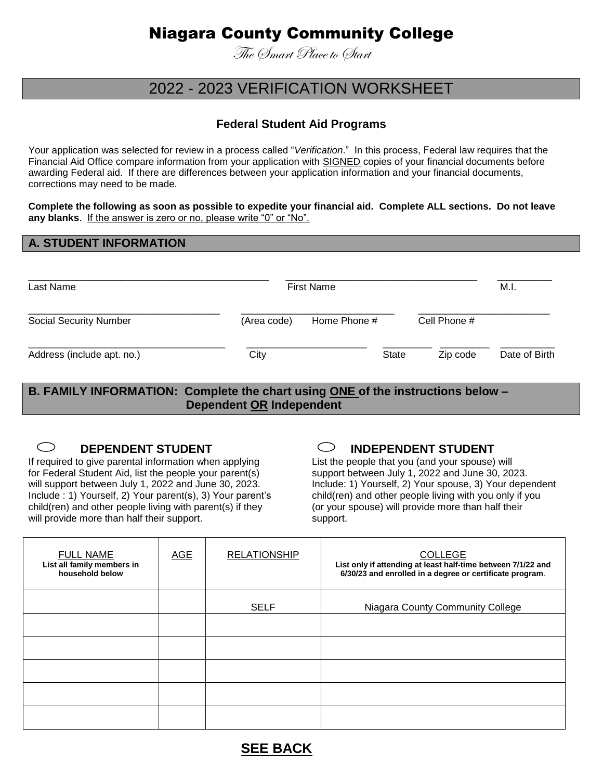# Niagara County Community College

The Smart Place to Start

## 2022 - 2023 VERIFICATION WORKSHEET

## **Federal Student Aid Programs**

Your application was selected for review in a process called "*Verification*." In this process, Federal law requires that the Financial Aid Office compare information from your application with SIGNED copies of your financial documents before awarding Federal aid. If there are differences between your application information and your financial documents, corrections may need to be made.

**Complete the following as soon as possible to expedite your financial aid. Complete ALL sections. Do not leave any blanks**. If the answer is zero or no, please write "0" or "No".

#### **A. STUDENT INFORMATION**

| Last Name                     | <b>First Name</b> | M.I.         |              |               |
|-------------------------------|-------------------|--------------|--------------|---------------|
| <b>Social Security Number</b> | (Area code)       | Home Phone # | Cell Phone # |               |
| Address (include apt. no.)    | City              | <b>State</b> | Zip code     | Date of Birth |

**B. FAMILY INFORMATION: Complete the chart using ONE of the instructions below – Dependent OR Independent** 

## $\bigcirc$

If required to give parental information when applying List the people that you (and your spouse) will<br>
for Federal Student Aid. list the people your parent(s) Support between July 1, 2022 and June 30, 20 Include : 1) Yourself, 2) Your parent(s), 3) Your parent's child(ren) and other people living with you only if you child(ren) and other people living with parent(s) if they (or your spouse) will provide more than half their will provide more than half their support.

## **DEPENDENT STUDENT**  $\bigcirc$  **INDEPENDENT STUDENT**

support between July 1, 2022 and June 30, 2023. will support between July 1, 2022 and June 30, 2023. Include: 1) Yourself, 2) Your spouse, 3) Your dependent

| <b>FULL NAME</b><br>List all family members in<br>household below | <b>AGE</b> | <b>RELATIONSHIP</b> | <b>COLLEGE</b><br>List only if attending at least half-time between 7/1/22 and<br>6/30/23 and enrolled in a degree or certificate program. |
|-------------------------------------------------------------------|------------|---------------------|--------------------------------------------------------------------------------------------------------------------------------------------|
|                                                                   |            | <b>SELF</b>         | Niagara County Community College                                                                                                           |
|                                                                   |            |                     |                                                                                                                                            |
|                                                                   |            |                     |                                                                                                                                            |
|                                                                   |            |                     |                                                                                                                                            |
|                                                                   |            |                     |                                                                                                                                            |
|                                                                   |            |                     |                                                                                                                                            |